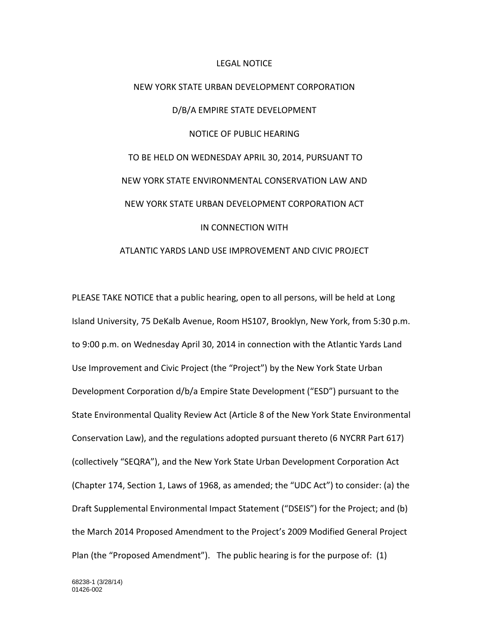#### LEGAL NOTICE

# NEW YORK STATE URBAN DEVELOPMENT CORPORATION D/B/A EMPIRE STATE DEVELOPMENT NOTICE OF PUBLIC HEARING TO BE HELD ON WEDNESDAY APRIL 30, 2014, PURSUANT TO NEW YORK STATE ENVIRONMENTAL CONSERVATION LAW AND NEW YORK STATE URBAN DEVELOPMENT CORPORATION ACT IN CONNECTION WITH

## ATLANTIC YARDS LAND USE IMPROVEMENT AND CIVIC PROJECT

PLEASE TAKE NOTICE that a public hearing, open to all persons, will be held at Long Island University, 75 DeKalb Avenue, Room HS107, Brooklyn, New York, from 5:30 p.m. to 9:00 p.m. on Wednesday April 30, 2014 in connection with the Atlantic Yards Land Use Improvement and Civic Project (the "Project") by the New York State Urban Development Corporation d/b/a Empire State Development ("ESD") pursuant to the State Environmental Quality Review Act (Article 8 of the New York State Environmental Conservation Law), and the regulations adopted pursuant thereto (6 NYCRR Part 617) (collectively "SEQRA"), and the New York State Urban Development Corporation Act (Chapter 174, Section 1, Laws of 1968, as amended; the "UDC Act") to consider: (a) the Draft Supplemental Environmental Impact Statement ("DSEIS") for the Project; and (b) the March 2014 Proposed Amendment to the Project's 2009 Modified General Project Plan (the "Proposed Amendment"). The public hearing is for the purpose of: (1)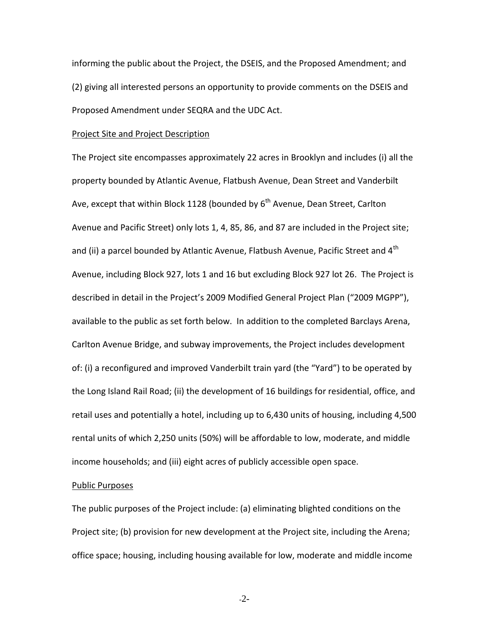informing the public about the Project, the DSEIS, and the Proposed Amendment; and (2) giving all interested persons an opportunity to provide comments on the DSEIS and Proposed Amendment under SEQRA and the UDC Act.

### Project Site and Project Description

The Project site encompasses approximately 22 acres in Brooklyn and includes (i) all the property bounded by Atlantic Avenue, Flatbush Avenue, Dean Street and Vanderbilt Ave, except that within Block 1128 (bounded by  $6<sup>th</sup>$  Avenue, Dean Street, Carlton Avenue and Pacific Street) only lots 1, 4, 85, 86, and 87 are included in the Project site; and (ii) a parcel bounded by Atlantic Avenue, Flatbush Avenue, Pacific Street and  $4<sup>th</sup>$ Avenue, including Block 927, lots 1 and 16 but excluding Block 927 lot 26. The Project is described in detail in the Project's 2009 Modified General Project Plan ("2009 MGPP"), available to the public as set forth below. In addition to the completed Barclays Arena, Carlton Avenue Bridge, and subway improvements, the Project includes development of: (i) a reconfigured and improved Vanderbilt train yard (the "Yard") to be operated by the Long Island Rail Road; (ii) the development of 16 buildings for residential, office, and retail uses and potentially a hotel, including up to 6,430 units of housing, including 4,500 rental units of which 2,250 units (50%) will be affordable to low, moderate, and middle income households; and (iii) eight acres of publicly accessible open space.

### Public Purposes

The public purposes of the Project include: (a) eliminating blighted conditions on the Project site; (b) provision for new development at the Project site, including the Arena; office space; housing, including housing available for low, moderate and middle income

-2-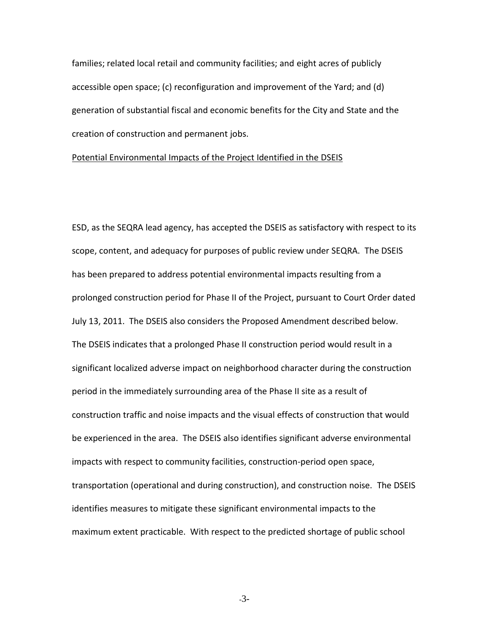families; related local retail and community facilities; and eight acres of publicly accessible open space; (c) reconfiguration and improvement of the Yard; and (d) generation of substantial fiscal and economic benefits for the City and State and the creation of construction and permanent jobs.

#### Potential Environmental Impacts of the Project Identified in the DSEIS

ESD, as the SEQRA lead agency, has accepted the DSEIS as satisfactory with respect to its scope, content, and adequacy for purposes of public review under SEQRA. The DSEIS has been prepared to address potential environmental impacts resulting from a prolonged construction period for Phase II of the Project, pursuant to Court Order dated July 13, 2011. The DSEIS also considers the Proposed Amendment described below. The DSEIS indicates that a prolonged Phase II construction period would result in a significant localized adverse impact on neighborhood character during the construction period in the immediately surrounding area of the Phase II site as a result of construction traffic and noise impacts and the visual effects of construction that would be experienced in the area. The DSEIS also identifies significant adverse environmental impacts with respect to community facilities, construction-period open space, transportation (operational and during construction), and construction noise. The DSEIS identifies measures to mitigate these significant environmental impacts to the maximum extent practicable. With respect to the predicted shortage of public school

-3-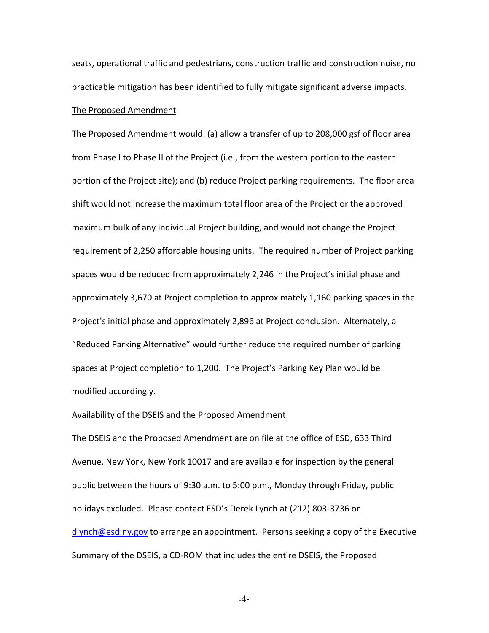seats, operational traffic and pedestrians, construction traffic and construction noise, no practicable mitigation has been identified to fully mitigate significant adverse impacts.

#### The Proposed Amendment

The Proposed Amendment would: (a) allow a transfer of up to 208,000 gsf of floor area from Phase I to Phase II of the Project (i.e., from the western portion to the eastern portion of the Project site); and (b) reduce Project parking requirements. The floor area shift would not increase the maximum total floor area of the Project or the approved maximum bulk of any individual Project building, and would not change the Project requirement of 2,250 affordable housing units. The required number of Project parking spaces would be reduced from approximately 2,246 in the Project's initial phase and approximately 3,670 at Project completion to approximately 1,160 parking spaces in the Project's initial phase and approximately 2,896 at Project conclusion. Alternately, a "Reduced Parking Alternative" would further reduce the required number of parking spaces at Project completion to 1,200. The Project's Parking Key Plan would be modified accordingly.

#### Availability of the DSEIS and the Proposed Amendment

The DSEIS and the Proposed Amendment are on file at the office of ESD, 633 Third Avenue, New York, New York 10017 and are available for inspection by the general public between the hours of 9:30 a.m. to 5:00 p.m., Monday through Friday, public holidays excluded. Please contact ESD's Derek Lynch at (212) 803-3736 or [dlynch@esd.ny.gov](mailto:dlynch@esd.ny.gov) to arrange an appointment. Persons seeking a copy of the Executive Summary of the DSEIS, a CD-ROM that includes the entire DSEIS, the Proposed

-4-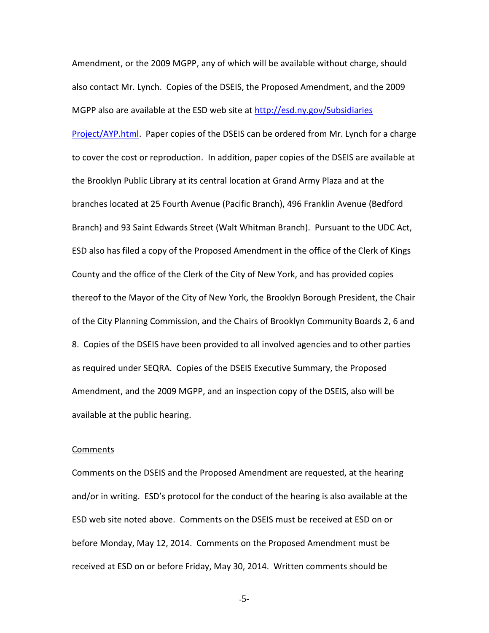Amendment, or the 2009 MGPP, any of which will be available without charge, should also contact Mr. Lynch. Copies of the DSEIS, the Proposed Amendment, and the 2009 MGPP also are available at the ESD web site at [http://esd.ny.gov/Subsidiaries](http://esd.ny.gov/Subsidiaries%20Project/AYP.html) 

[Project/AYP.html.](http://esd.ny.gov/Subsidiaries%20Project/AYP.html) Paper copies of the DSEIS can be ordered from Mr. Lynch for a charge to cover the cost or reproduction. In addition, paper copies of the DSEIS are available at the Brooklyn Public Library at its central location at Grand Army Plaza and at the branches located at 25 Fourth Avenue (Pacific Branch), 496 Franklin Avenue (Bedford Branch) and 93 Saint Edwards Street (Walt Whitman Branch). Pursuant to the UDC Act, ESD also has filed a copy of the Proposed Amendment in the office of the Clerk of Kings County and the office of the Clerk of the City of New York, and has provided copies thereof to the Mayor of the City of New York, the Brooklyn Borough President, the Chair of the City Planning Commission, and the Chairs of Brooklyn Community Boards 2, 6 and 8. Copies of the DSEIS have been provided to all involved agencies and to other parties as required under SEQRA. Copies of the DSEIS Executive Summary, the Proposed Amendment, and the 2009 MGPP, and an inspection copy of the DSEIS, also will be available at the public hearing.

#### **Comments**

Comments on the DSEIS and the Proposed Amendment are requested, at the hearing and/or in writing. ESD's protocol for the conduct of the hearing is also available at the ESD web site noted above. Comments on the DSEIS must be received at ESD on or before Monday, May 12, 2014. Comments on the Proposed Amendment must be received at ESD on or before Friday, May 30, 2014. Written comments should be

-5-